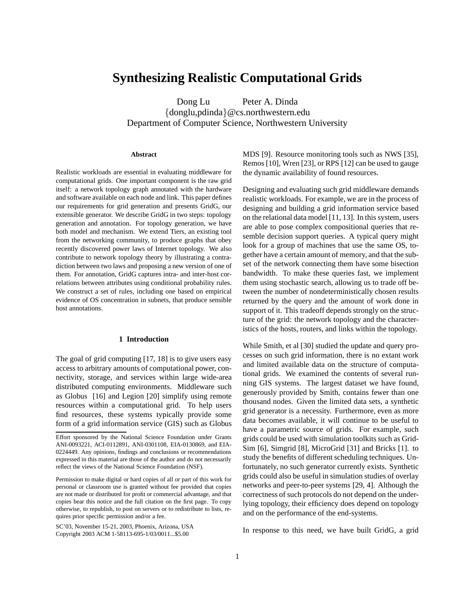# **Synthesizing Realistic Computational Grids**

Dong Lu Peter A. Dinda {donglu,pdinda}@cs.northwestern.edu Department of Computer Science, Northwestern University

## **Abstract**

Realistic workloads are essential in evaluating middleware for computational grids. One important component is the raw grid itself: a network topology graph annotated with the hardware and software available on each node and link. This paper defines our requirements for grid generation and presents GridG, our extensible generator. We describe GridG in two steps: topology generation and annotation. For topology generation, we have both model and mechanism. We extend Tiers, an existing tool from the networking community, to produce graphs that obey recently discovered power laws of Internet topology. We also contribute to network topology theory by illustrating a contradiction between two laws and proposing a new version of one of them. For annotation, GridG captures intra- and inter-host correlations between attributes using conditional probability rules. We construct a set of rules, including one based on empirical evidence of OS concentration in subnets, that produce sensible host annotations.

## **1 Introduction**

The goal of grid computing [17, 18] is to give users easy access to arbitrary amounts of computational power, connectivity, storage, and services within large wide-area distributed computing environments. Middleware such as Globus [16] and Legion [20] simplify using remote resources within a computational grid. To help users find resources, these systems typically provide some form of a grid information service (GIS) such as Globus

SC'03, November 15-21, 2003, Phoenix, Arizona, USA Copyright 2003 ACM 1-58113-695-1/03/0011...\$5.00

MDS [9]. Resource monitoring tools such as NWS [35], Remos [10], Wren [23], or RPS [12] can be used to gauge the dynamic availability of found resources.

Designing and evaluating such grid middleware demands realistic workloads. For example, we are in the process of designing and building a grid information service based on the relational data model [11, 13]. In this system, users are able to pose complex compositional queries that resemble decision support queries. A typical query might look for a group of machines that use the same OS, together have a certain amount of memory, and that the subset of the network connecting them have some bisection bandwidth. To make these queries fast, we implement them using stochastic search, allowing us to trade off between the number of nondeterministically chosen results returned by the query and the amount of work done in support of it. This tradeoff depends strongly on the structure of the grid: the network topology and the characteristics of the hosts, routers, and links within the topology.

While Smith, et al [30] studied the update and query processes on such grid information, there is no extant work and limited available data on the structure of computational grids. We examined the contents of several running GIS systems. The largest dataset we have found, generously provided by Smith, contains fewer than one thousand nodes. Given the limited data sets, a synthetic grid generator is a necessity. Furthermore, even as more data becomes available, it will continue to be useful to have a parametric source of grids. For example, such grids could be used with simulation toolkits such as Grid-Sim [6], Simgrid [8], MicroGrid [31] and Bricks [1]. to study the benefits of different scheduling techniques. Unfortunately, no such generator currently exists. Synthetic grids could also be useful in simulation studies of overlay networks and peer-to-peer systems [29, 4]. Although the correctness of such protocols do not depend on the underlying topology, their efficiency does depend on topology and on the performance of the end-systems.

In response to this need, we have built GridG, a grid

Effort sponsored by the National Science Foundation under Grants ANI-0093221, ACI-0112891, ANI-0301108, EIA-0130869, and EIA-0224449. Any opinions, findings and conclusions or recommendations expressed in this material are those of the author and do not necessarily reflect the views of the National Science Foundation (NSF).

Permission to make digital or hard copies of all or part of this work for personal or classroom use is granted without fee provided that copies are not made or distributed for profit or commercial advantage, and that copies bear this notice and the full citation on the first page. To copy otherwise, to republish, to post on servers or to redistribute to lists, requires prior specific permission and/or a fee.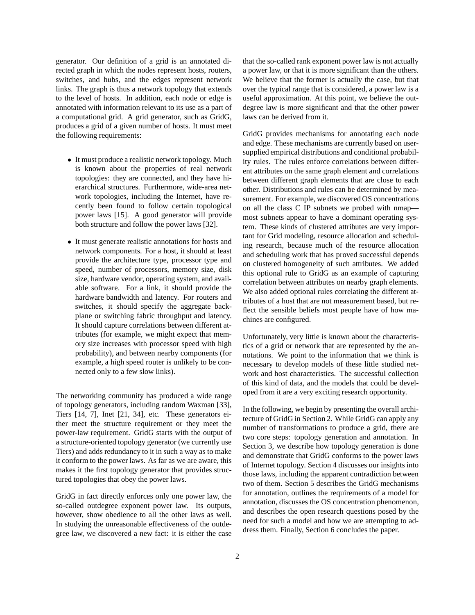generator. Our definition of a grid is an annotated directed graph in which the nodes represent hosts, routers, switches, and hubs, and the edges represent network links. The graph is thus a network topology that extends to the level of hosts. In addition, each node or edge is annotated with information relevant to its use as a part of a computational grid. A grid generator, such as GridG, produces a grid of a given number of hosts. It must meet the following requirements:

- It must produce a realistic network topology. Much is known about the properties of real network topologies: they are connected, and they have hierarchical structures. Furthermore, wide-area network topologies, including the Internet, have recently been found to follow certain topological power laws [15]. A good generator will provide both structure and follow the power laws [32].
- It must generate realistic annotations for hosts and network components. For a host, it should at least provide the architecture type, processor type and speed, number of processors, memory size, disk size, hardware vendor, operating system, and available software. For a link, it should provide the hardware bandwidth and latency. For routers and switches, it should specify the aggregate backplane or switching fabric throughput and latency. It should capture correlations between different attributes (for example, we might expect that memory size increases with processor speed with high probability), and between nearby components (for example, a high speed router is unlikely to be connected only to a few slow links).

The networking community has produced a wide range of topology generators, including random Waxman [33], Tiers [14, 7], Inet [21, 34], etc. These generators either meet the structure requirement or they meet the power-law requirement. GridG starts with the output of a structure-oriented topology generator (we currently use Tiers) and adds redundancy to it in such a way as to make it conform to the power laws. As far as we are aware, this makes it the first topology generator that provides structured topologies that obey the power laws.

GridG in fact directly enforces only one power law, the so-called outdegree exponent power law. Its outputs, however, show obedience to all the other laws as well. In studying the unreasonable effectiveness of the outdegree law, we discovered a new fact: it is either the case that the so-called rank exponent power law is not actually a power law, or that it is more significant than the others. We believe that the former is actually the case, but that over the typical range that is considered, a power law is a useful approximation. At this point, we believe the outdegree law is more significant and that the other power laws can be derived from it.

GridG provides mechanisms for annotating each node and edge. These mechanisms are currently based on usersupplied empirical distributions and conditional probability rules. The rules enforce correlations between different attributes on the same graph element and correlations between different graph elements that are close to each other. Distributions and rules can be determined by measurement. For example, we discovered OS concentrations on all the class C IP subnets we probed with nmap most subnets appear to have a dominant operating system. These kinds of clustered attributes are very important for Grid modeling, resource allocation and scheduling research, because much of the resource allocation and scheduling work that has proved successful depends on clustered homogeneity of such attributes. We added this optional rule to GridG as an example of capturing correlation between attributes on nearby graph elements. We also added optional rules correlating the different attributes of a host that are not measurement based, but reflect the sensible beliefs most people have of how machines are configured.

Unfortunately, very little is known about the characteristics of a grid or network that are represented by the annotations. We point to the information that we think is necessary to develop models of these little studied network and host characteristics. The successful collection of this kind of data, and the models that could be developed from it are a very exciting research opportunity.

In the following, we begin by presenting the overall architecture of GridG in Section 2. While GridG can apply any number of transformations to produce a grid, there are two core steps: topology generation and annotation. In Section 3, we describe how topology generation is done and demonstrate that GridG conforms to the power laws of Internet topology. Section 4 discusses our insights into those laws, including the apparent contradiction between two of them. Section 5 describes the GridG mechanisms for annotation, outlines the requirements of a model for annotation, discusses the OS concentration phenomenon, and describes the open research questions posed by the need for such a model and how we are attempting to address them. Finally, Section 6 concludes the paper.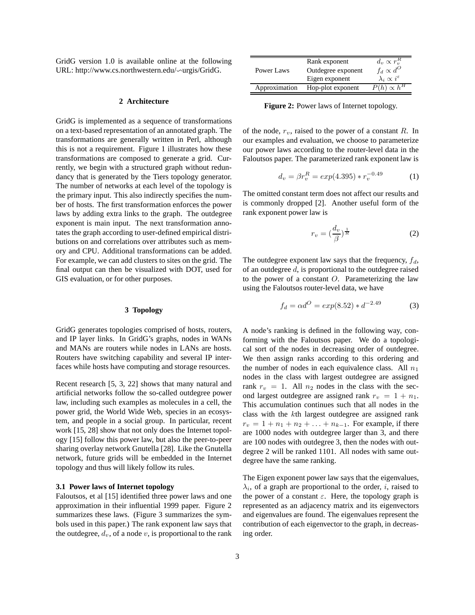GridG version 1.0 is available online at the following URL: http://www.cs.northwestern.edu/ $\sim$ urgis/GridG.

## **2 Architecture**

GridG is implemented as a sequence of transformations on a text-based representation of an annotated graph. The transformations are generally written in Perl, although this is not a requirement. Figure 1 illustrates how these transformations are composed to generate a grid. Currently, we begin with a structured graph without redundancy that is generated by the Tiers topology generator. The number of networks at each level of the topology is the primary input. This also indirectly specifies the number of hosts. The first transformation enforces the power laws by adding extra links to the graph. The outdegree exponent is main input. The next transformation annotates the graph according to user-defined empirical distributions on and correlations over attributes such as memory and CPU. Additional transformations can be added. For example, we can add clusters to sites on the grid. The final output can then be visualized with DOT, used for GIS evaluation, or for other purposes.

## **3 Topology**

GridG generates topologies comprised of hosts, routers, and IP layer links. In GridG's graphs, nodes in WANs and MANs are routers while nodes in LANs are hosts. Routers have switching capability and several IP interfaces while hosts have computing and storage resources.

Recent research [5, 3, 22] shows that many natural and artificial networks follow the so-called outdegree power law, including such examples as molecules in a cell, the power grid, the World Wide Web, species in an ecosystem, and people in a social group. In particular, recent work [15, 28] show that not only does the Internet topology [15] follow this power law, but also the peer-to-peer sharing overlay network Gnutella [28]. Like the Gnutella network, future grids will be embedded in the Internet topology and thus will likely follow its rules.

## **3.1 Power laws of Internet topology**

Faloutsos, et al [15] identified three power laws and one approximation in their influential 1999 paper. Figure 2 summarizes these laws. (Figure 3 summarizes the symbols used in this paper.) The rank exponent law says that the outdegree,  $d_v$ , of a node v, is proportional to the rank

|               | Rank exponent      | $d_v \propto r_v^R$                 |
|---------------|--------------------|-------------------------------------|
| Power Laws    | Outdegree exponent | $f_d \propto d^O$                   |
|               | Eigen exponent     | $\lambda_i \propto i^{\varepsilon}$ |
| Approximation | Hop-plot exponent  | $P(h) \propto h^H$                  |

**Figure 2:** Power laws of Internet topology.

of the node,  $r_v$ , raised to the power of a constant R. In our examples and evaluation, we choose to parameterize our power laws according to the router-level data in the Faloutsos paper. The parameterized rank exponent law is

$$
d_v = \beta r_v^R = \exp(4.395) \cdot r_v^{-0.49} \tag{1}
$$

The omitted constant term does not affect our results and is commonly dropped [2]. Another useful form of the rank exponent power law is

$$
r_v = \left(\frac{d_v}{\beta}\right)^{\frac{1}{R}}\tag{2}
$$

The outdegree exponent law says that the frequency,  $f_d$ , of an outdegree  $d$ , is proportional to the outdegree raised to the power of a constant  $O$ . Parameterizing the law using the Faloutsos router-level data, we have

$$
f_d = \alpha d^O = exp(8.52) * d^{-2.49}
$$
 (3)

A node's ranking is defined in the following way, conforming with the Faloutsos paper. We do a topological sort of the nodes in decreasing order of outdegree. We then assign ranks according to this ordering and the number of nodes in each equivalence class. All  $n_1$ nodes in the class with largest outdegree are assigned rank  $r_v = 1$ . All  $n_2$  nodes in the class with the second largest outdegree are assigned rank  $r_v = 1 + n_1$ . This accumulation continues such that all nodes in the class with the kth largest outdegree are assigned rank  $r_v = 1 + n_1 + n_2 + \ldots + n_{k-1}$ . For example, if there are 1000 nodes with outdegree larger than 3, and there are 100 nodes with outdegree 3, then the nodes with outdegree 2 will be ranked 1101. All nodes with same outdegree have the same ranking.

The Eigen exponent power law says that the eigenvalues,  $\lambda_i$ , of a graph are proportional to the order, i, raised to the power of a constant  $\varepsilon$ . Here, the topology graph is represented as an adjacency matrix and its eigenvectors and eigenvalues are found. The eigenvalues represent the contribution of each eigenvector to the graph, in decreasing order.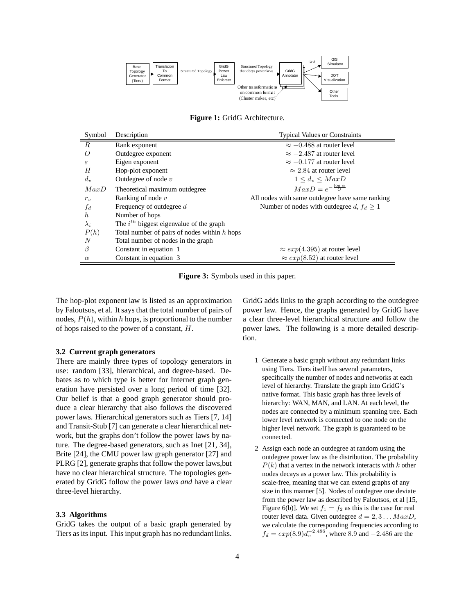

**Figure 1:** GridG Architecture.

| Symbol           | Description                                    | <b>Typical Values or Constraints</b>            |
|------------------|------------------------------------------------|-------------------------------------------------|
| $\boldsymbol{R}$ | Rank exponent                                  | $\approx -0.488$ at router level                |
| Ω                | Outdegree exponent                             | $\approx -2.487$ at router level                |
| ε                | Eigen exponent                                 | $\approx -0.177$ at router level                |
| H                | Hop-plot exponent                              | $\approx$ 2.84 at router level                  |
| $d_v$            | Outdegree of node $v$                          | $1 \leq d_v \leq MaxD$                          |
| MaxD             | Theoretical maximum outdegree                  | $MaxD = e^{-\frac{\log \alpha}{D}}$             |
| $r_v$            | Ranking of node $v$                            | All nodes with same outdegree have same ranking |
| $f_d$            | Frequency of outdegree d                       | Number of nodes with outdegree d, $f_d > 1$     |
| $\hbar$          | Number of hops                                 |                                                 |
| $\lambda_i$      | The $i^{th}$ biggest eigenvalue of the graph   |                                                 |
| P(h)             | Total number of pairs of nodes within $h$ hops |                                                 |
| N                | Total number of nodes in the graph             |                                                 |
| $\beta$          | Constant in equation 1                         | $\approx exp(4.395)$ at router level            |
| $\alpha$         | Constant in equation 3                         | $\approx exp(8.52)$ at router level             |

**Figure 3:** Symbols used in this paper.

The hop-plot exponent law is listed as an approximation by Faloutsos, et al. It says that the total number of pairs of nodes,  $P(h)$ , within h hops, is proportional to the number of hops raised to the power of a constant, H.

#### **3.2 Current graph generators**

There are mainly three types of topology generators in use: random [33], hierarchical, and degree-based. Debates as to which type is better for Internet graph generation have persisted over a long period of time [32]. Our belief is that a good graph generator should produce a clear hierarchy that also follows the discovered power laws. Hierarchical generators such as Tiers [7, 14] and Transit-Stub [7] can generate a clear hierarchical network, but the graphs don't follow the power laws by nature. The degree-based generators, such as Inet [21, 34], Brite [24], the CMU power law graph generator [27] and PLRG [2], generate graphs that follow the power laws, but have no clear hierarchical structure. The topologies generated by GridG follow the power laws *and* have a clear three-level hierarchy.

## **3.3 Algorithms**

GridG takes the output of a basic graph generated by Tiers as its input. This input graph has no redundant links. GridG adds links to the graph according to the outdegree power law. Hence, the graphs generated by GridG have a clear three-level hierarchical structure and follow the power laws. The following is a more detailed description.

- 1 Generate a basic graph without any redundant links using Tiers. Tiers itself has several parameters, specifically the number of nodes and networks at each level of hierarchy. Translate the graph into GridG's native format. This basic graph has three levels of hierarchy: WAN, MAN, and LAN. At each level, the nodes are connected by a minimum spanning tree. Each lower level network is connected to one node on the higher level network. The graph is guaranteed to be connected.
- 2 Assign each node an outdegree at random using the outdegree power law as the distribution. The probability  $P(k)$  that a vertex in the network interacts with k other nodes decays as a power law. This probability is scale-free, meaning that we can extend graphs of any size in this manner [5]. Nodes of outdegree one deviate from the power law as described by Faloutsos, et al [15, Figure 6(b)]. We set  $f_1 = f_2$  as this is the case for real router level data. Given outdegree  $d = 2, 3...$   $MaxD$ , we calculate the corresponding frequencies according to  $f_d = exp(8.9)d_v^{-2.486}$ , where 8.9 and  $-2.486$  are the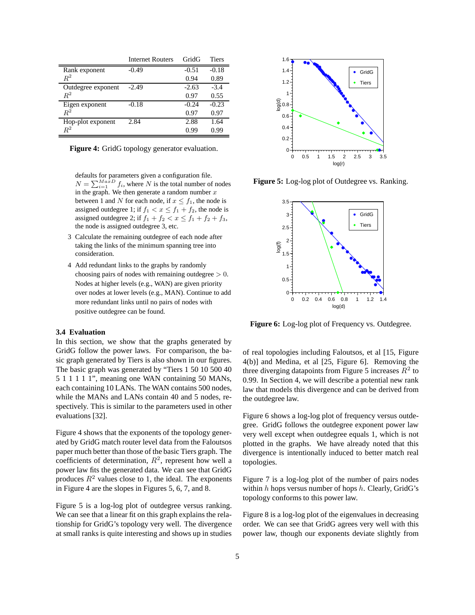|                    | <b>Internet Routers</b> | GridG   | Tiers   |
|--------------------|-------------------------|---------|---------|
| Rank exponent      | $-0.49$                 | $-0.51$ | $-0.18$ |
| $\,R^2$            |                         | 0.94    | 0.89    |
| Outdegree exponent | $-2.49$                 | $-2.63$ | $-3.4$  |
| $R^2$              |                         | 0.97    | 0.55    |
| Eigen exponent     | $-0.18$                 | $-0.24$ | $-0.23$ |
| $\,R^2$            |                         | 0.97    | 0.97    |
| Hop-plot exponent  | 2.84                    | 2.88    | 1.64    |
| $\,R^2$            |                         | 0.99    | 0.99    |

|  |  |  |  |  | Figure 4: GridG topology generator evaluation. |
|--|--|--|--|--|------------------------------------------------|
|--|--|--|--|--|------------------------------------------------|

defaults for parameters given a configuration file.  $N = \sum_{i=1}^{MaxD} f_i$ , where N is the total number of nodes in the graph. We then generate a random number  $x$ between 1 and N for each node, if  $x \leq f_1$ , the node is assigned outdegree 1; if  $f_1 < x \le f_1 + f_2$ , the node is assigned outdegree 2; if  $f_1 + f_2 < x \le f_1 + f_2 + f_3$ , the node is assigned outdegree 3, etc.

- 3 Calculate the remaining outdegree of each node after taking the links of the minimum spanning tree into consideration.
- 4 Add redundant links to the graphs by randomly choosing pairs of nodes with remaining outdegree  $> 0$ . Nodes at higher levels (e.g., WAN) are given priority over nodes at lower levels (e.g., MAN). Continue to add more redundant links until no pairs of nodes with positive outdegree can be found.

# **3.4 Evaluation**

In this section, we show that the graphs generated by GridG follow the power laws. For comparison, the basic graph generated by Tiers is also shown in our figures. The basic graph was generated by "Tiers 1 50 10 500 40 5 1 1 1 1 1", meaning one WAN containing 50 MANs, each containing 10 LANs. The WAN contains 500 nodes, while the MANs and LANs contain 40 and 5 nodes, respectively. This is similar to the parameters used in other evaluations [32].

Figure 4 shows that the exponents of the topology generated by GridG match router level data from the Faloutsos paper much better than those of the basic Tiers graph. The coefficients of determination,  $R^2$ , represent how well a power law fits the generated data. We can see that GridG produces  $R^2$  values close to 1, the ideal. The exponents in Figure 4 are the slopes in Figures 5, 6, 7, and 8.

Figure 5 is a log-log plot of outdegree versus ranking. We can see that a linear fit on this graph explains the relationship for GridG's topology very well. The divergence at small ranks is quite interesting and shows up in studies



**Figure 5:** Log-log plot of Outdegree vs. Ranking.



**Figure 6:** Log-log plot of Frequency vs. Outdegree.

of real topologies including Faloutsos, et al [15, Figure 4(b)] and Medina, et al [25, Figure 6]. Removing the three diverging datapoints from Figure 5 increases  $R^2$  to 0.99. In Section 4, we will describe a potential new rank law that models this divergence and can be derived from the outdegree law.

Figure 6 shows a log-log plot of frequency versus outdegree. GridG follows the outdegree exponent power law very well except when outdegree equals 1, which is not plotted in the graphs. We have already noted that this divergence is intentionally induced to better match real topologies.

Figure 7 is a log-log plot of the number of pairs nodes within  $h$  hops versus number of hops  $h$ . Clearly, GridG's topology conforms to this power law.

Figure 8 is a log-log plot of the eigenvalues in decreasing order. We can see that GridG agrees very well with this power law, though our exponents deviate slightly from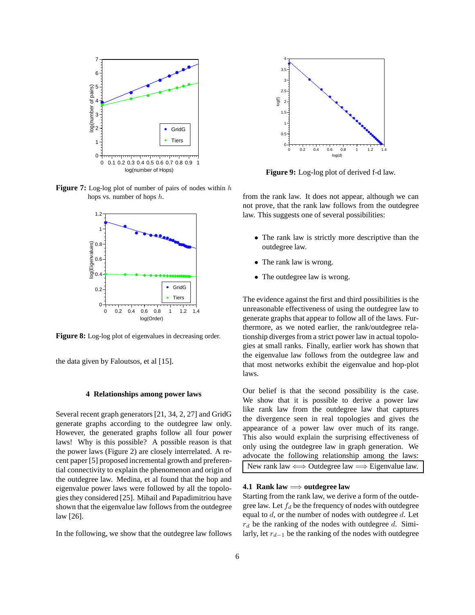

**Figure 7:** Log-log plot of number of pairs of nodes within h hops vs. number of hops h.



**Figure 8:** Log-log plot of eigenvalues in decreasing order.

the data given by Faloutsos, et al [15].

## **4 Relationships among power laws**

Several recent graph generators [21, 34, 2, 27] and GridG generate graphs according to the outdegree law only. However, the generated graphs follow all four power laws! Why is this possible? A possible reason is that the power laws (Figure 2) are closely interrelated. A recent paper [5] proposed incremental growth and preferential connectivity to explain the phenomenon and origin of the outdegree law. Medina, et al found that the hop and eigenvalue power laws were followed by all the topologies they considered [25]. Mihail and Papadimitriou have shown that the eigenvalue law follows from the outdegree law [26].

In the following, we show that the outdegree law follows



**Figure 9:** Log-log plot of derived f-d law.

from the rank law. It does not appear, although we can not prove, that the rank law follows from the outdegree law. This suggests one of several possibilities:

- The rank law is strictly more descriptive than the outdegree law.
- The rank law is wrong.
- The outdegree law is wrong.

The evidence against the first and third possibilities is the unreasonable effectiveness of using the outdegree law to generate graphs that appear to follow all of the laws. Furthermore, as we noted earlier, the rank/outdegree relationship diverges from a strict power law in actual topologies at small ranks. Finally, earlier work has shown that the eigenvalue law follows from the outdegree law and that most networks exhibit the eigenvalue and hop-plot laws.

Our belief is that the second possibility is the case. We show that it is possible to derive a power law like rank law from the outdegree law that captures the divergence seen in real topologies and gives the appearance of a power law over much of its range. This also would explain the surprising effectiveness of only using the outdegree law in graph generation. We advocate the following relationship among the laws: New rank law  $\Longleftrightarrow$  Outdegree law  $\Longrightarrow$  Eigenvalue law.

## **4.1 Rank law** =⇒ **outdegree law**

Starting from the rank law, we derive a form of the outdegree law. Let  $f_d$  be the frequency of nodes with outdegree equal to  $d$ , or the number of nodes with outdegree  $d$ . Let  $r_d$  be the ranking of the nodes with outdegree d. Similarly, let  $r_{d-1}$  be the ranking of the nodes with outdegree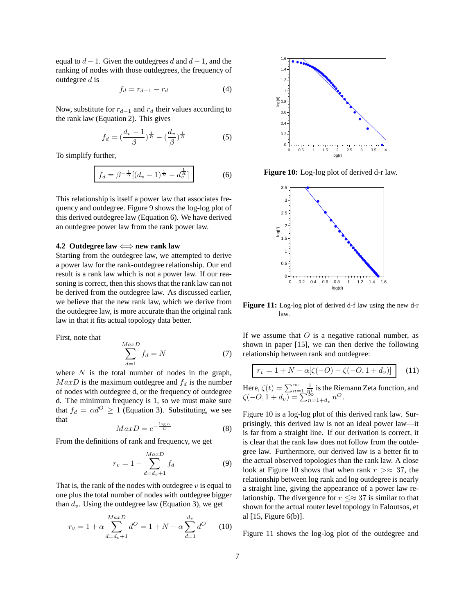equal to  $d-1$ . Given the outdegrees d and  $d-1$ , and the ranking of nodes with those outdegrees, the frequency of outdegree  $d$  is

$$
f_d = r_{d-1} - r_d \tag{4}
$$

Now, substitute for  $r_{d-1}$  and  $r_d$  their values according to the rank law (Equation 2). This gives

$$
f_d = \left(\frac{d_v - 1}{\beta}\right)^{\frac{1}{R}} - \left(\frac{d_v}{\beta}\right)^{\frac{1}{R}}\tag{5}
$$

To simplify further,

$$
f_d = \beta^{-\frac{1}{R}} \left[ (d_v - 1)^{\frac{1}{R}} - d_v^{\frac{1}{R}} \right]
$$
 (6)

This relationship is itself a power law that associates frequency and outdegree. Figure 9 shows the log-log plot of this derived outdegree law (Equation 6). We have derived an outdegree power law from the rank power law.

#### **4.2 Outdegree law** ⇐⇒ **new rank law**

Starting from the outdegree law, we attempted to derive a power law for the rank-outdegree relationship. Our end result is a rank law which is not a power law. If our reasoning is correct, then this shows that the rank law can not be derived from the outdegree law. As discussed earlier, we believe that the new rank law, which we derive from the outdegree law, is more accurate than the original rank law in that it fits actual topology data better.

First, note that

$$
\sum_{d=1}^{MaxD} f_d = N \tag{7}
$$

where  $N$  is the total number of nodes in the graph,  $MaxD$  is the maximum outdegree and  $f_d$  is the number of nodes with outdegree d, or the frequency of outdegree d. The minimum frequency is 1, so we must make sure that  $f_d = \alpha d^O \ge 1$  (Equation 3). Substituting, we see that

$$
MaxD = e^{-\frac{\log \alpha}{O}} \tag{8}
$$

From the definitions of rank and frequency, we get

$$
r_v = 1 + \sum_{d=d_v+1}^{MaxD} f_d
$$
 (9)

That is, the rank of the nodes with outdegree  $v$  is equal to one plus the total number of nodes with outdegree bigger than  $d_v$ . Using the outdegree law (Equation 3), we get

$$
r_v = 1 + \alpha \sum_{d=d_v+1}^{MaxD} d^O = 1 + N - \alpha \sum_{d=1}^{d_v} d^O \qquad (10)
$$



**Figure 10:** Log-log plot of derived d-r law.



**Figure 11:** Log-log plot of derived d-f law using the new d-r law.

If we assume that  $O$  is a negative rational number, as shown in paper [15], we can then derive the following relationship between rank and outdegree:

$$
r_v = 1 + N - \alpha[\zeta(-O) - \zeta(-O, 1 + d_v)] \tag{11}
$$

Here,  $\zeta(t) = \sum_{n=1}^{\infty} \frac{1}{n^t}$  is the Riemann Zeta function, and  $\zeta(-0, 1+d_v) = \sum_{n=1+d_v}^{n=1} n^{\alpha}$ 

Figure 10 is a log-log plot of this derived rank law. Surprisingly, this derived law is not an ideal power law—it is far from a straight line. If our derivation is correct, it is clear that the rank law does not follow from the outdegree law. Furthermore, our derived law is a better fit to the actual observed topologies than the rank law. A close look at Figure 10 shows that when rank  $r > \approx 37$ , the relationship between log rank and log outdegree is nearly a straight line, giving the appearance of a power law relationship. The divergence for  $r \leq \approx 37$  is similar to that shown for the actual router level topology in Faloutsos, et al [15, Figure 6(b)].

Figure 11 shows the log-log plot of the outdegree and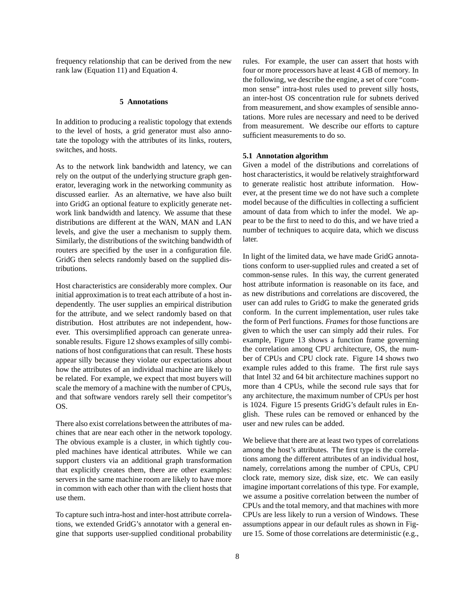frequency relationship that can be derived from the new rank law (Equation 11) and Equation 4.

## **5 Annotations**

In addition to producing a realistic topology that extends to the level of hosts, a grid generator must also annotate the topology with the attributes of its links, routers, switches, and hosts.

As to the network link bandwidth and latency, we can rely on the output of the underlying structure graph generator, leveraging work in the networking community as discussed earlier. As an alternative, we have also built into GridG an optional feature to explicitly generate network link bandwidth and latency. We assume that these distributions are different at the WAN, MAN and LAN levels, and give the user a mechanism to supply them. Similarly, the distributions of the switching bandwidth of routers are specified by the user in a configuration file. GridG then selects randomly based on the supplied distributions.

Host characteristics are considerably more complex. Our initial approximation is to treat each attribute of a host independently. The user supplies an empirical distribution for the attribute, and we select randomly based on that distribution. Host attributes are not independent, however. This oversimplified approach can generate unreasonable results. Figure 12 shows examples of silly combinations of host configurations that can result. These hosts appear silly because they violate our expectations about how the attributes of an individual machine are likely to be related. For example, we expect that most buyers will scale the memory of a machine with the number of CPUs, and that software vendors rarely sell their competitor's OS.

There also exist correlations between the attributes of machines that are near each other in the network topology. The obvious example is a cluster, in which tightly coupled machines have identical attributes. While we can support clusters via an additional graph transformation that explicitly creates them, there are other examples: servers in the same machine room are likely to have more in common with each other than with the client hosts that use them.

To capture such intra-host and inter-host attribute correlations, we extended GridG's annotator with a general engine that supports user-supplied conditional probability rules. For example, the user can assert that hosts with four or more processors have at least 4 GB of memory. In the following, we describe the engine, a set of core "common sense" intra-host rules used to prevent silly hosts, an inter-host OS concentration rule for subnets derived from measurement, and show examples of sensible annotations. More rules are necessary and need to be derived from measurement. We describe our efforts to capture sufficient measurements to do so.

## **5.1 Annotation algorithm**

Given a model of the distributions and correlations of host characteristics, it would be relatively straightforward to generate realistic host attribute information. However, at the present time we do not have such a complete model because of the difficulties in collecting a sufficient amount of data from which to infer the model. We appear to be the first to need to do this, and we have tried a number of techniques to acquire data, which we discuss later.

In light of the limited data, we have made GridG annotations conform to user-supplied rules and created a set of common-sense rules. In this way, the current generated host attribute information is reasonable on its face, and as new distributions and correlations are discovered, the user can add rules to GridG to make the generated grids conform. In the current implementation, user rules take the form of Perl functions. *Frames* for those functions are given to which the user can simply add their rules. For example, Figure 13 shows a function frame governing the correlation among CPU architecture, OS, the number of CPUs and CPU clock rate. Figure 14 shows two example rules added to this frame. The first rule says that Intel 32 and 64 bit architecture machines support no more than 4 CPUs, while the second rule says that for any architecture, the maximum number of CPUs per host is 1024. Figure 15 presents GridG's default rules in English. These rules can be removed or enhanced by the user and new rules can be added.

We believe that there are at least two types of correlations among the host's attributes. The first type is the correlations among the different attributes of an individual host, namely, correlations among the number of CPUs, CPU clock rate, memory size, disk size, etc. We can easily imagine important correlations of this type. For example, we assume a positive correlation between the number of CPUs and the total memory, and that machines with more CPUs are less likely to run a version of Windows. These assumptions appear in our default rules as shown in Figure 15. Some of those correlations are deterministic (e.g.,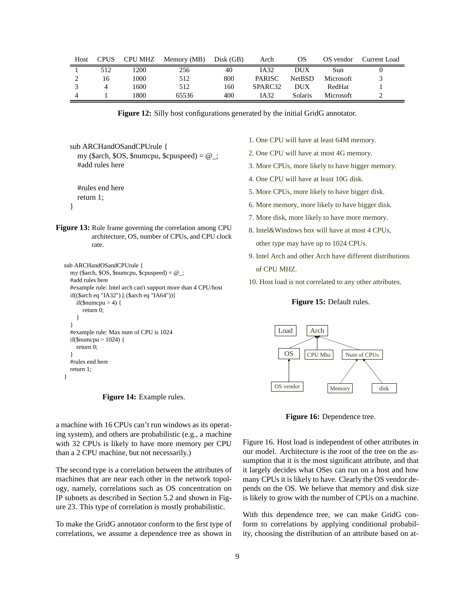| Host | <b>CPUS</b> |      | CPU MHZ Memory (MB) | Disk (GB) | Arch                | <b>OS</b>     | OS vendor | Current Load |
|------|-------------|------|---------------------|-----------|---------------------|---------------|-----------|--------------|
|      | 512         | 1200 | 256                 | 40        | IA32                | DUX           | Sun       |              |
|      | 16          | 1000 | 512                 | 800       | <b>PARISC</b>       | <b>NetBSD</b> | Microsoft |              |
|      |             | 1600 | 512                 | 160       | SPARC <sub>32</sub> | <b>DUX</b>    | RedHat    |              |
|      |             | 1800 | 65536               | 400       | IA32                | Solaris       | Microsoft |              |

**Figure 12:** Silly host configurations generated by the initial GridG annotator.

sub ARCHandOSandCPUrule { my (\$arch, \$OS, \$numcpu, \$cpuspeed) =  $@$ ; #add rules here

#rules end here return 1;

}

**Figure 13:** Rule frame governing the correlation among CPU architecture, OS, number of CPUs, and CPU clock rate.

```
sub ARCHandOSandCPUrule {
  my ($arch, $OS, $numcpu, $cpuspeed) = @_;
  #add rules here
  #example rule: Intel arch can't support more than 4 CPU/host
  if(($arch eq "IA32") || ($arch eq "IA64")){
    if($number > 4) {
       return 0;
    }
  }
  #example rule: Max num of CPU is 1024
  if($numcpu > 1024) {
    return 0;
  }
  #rules end here
  return 1;
}
```
**Figure 14:** Example rules.

a machine with 16 CPUs can't run windows as its operating system), and others are probabilistic (e.g., a machine with 32 CPUs is likely to have more memory per CPU than a 2 CPU machine, but not necessarily.)

The second type is a correlation between the attributes of machines that are near each other in the network topology, namely, correlations such as OS concentration on IP subnets as described in Section 5.2 and shown in Figure 23. This type of correlation is mostly probabilistic.

To make the GridG annotator conform to the first type of correlations, we assume a dependence tree as shown in

1. One CPU will have at least 64M memory.

- 2. One CPU will have at most 4G memory.
- 3. More CPUs, more likely to have bigger memory.
- 4. One CPU will have at least 10G disk.
- 5. More CPUs, more likely to have bigger disk.
- 6. More memory, more likely to have bigger disk.
- 7. More disk, more likely to have more memory.
- 8. Intel&Windows box will have at most 4 CPUs, other type may have up to 1024 CPUs.
- 9. Intel Arch and other Arch have different distributions of CPU MHZ.
- 10. Host load is not correlated to any other attributes.

## **Figure 15:** Default rules.



**Figure 16:** Dependence tree.

Figure 16. Host load is independent of other attributes in our model. Architecture is the root of the tree on the assumption that it is the most significant attribute, and that it largely decides what OSes can run on a host and how many CPUs it is likely to have. Clearly the OS vendor depends on the OS. We believe that memory and disk size is likely to grow with the number of CPUs on a machine.

With this dependence tree, we can make GridG conform to correlations by applying conditional probability, choosing the distribution of an attribute based on at-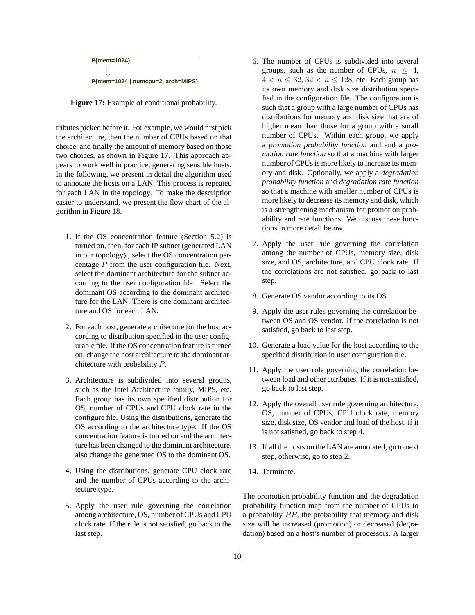

**Figure 17:** Example of conditional probability.

tributes picked before it. For example, we would first pick the architecture, then the number of CPUs based on that choice, and finally the amount of memory based on those two choices, as shown in Figure 17. This approach appears to work well in practice, generating sensible hosts. In the following, we present in detail the algorithm used to annotate the hosts on a LAN. This process is repeated for each LAN in the topology. To make the description easier to understand, we present the flow chart of the algorithm in Figure 18.

- 1. If the OS concentration feature (Section 5.2) is turned on, then, for each IP subnet (generated LAN in our topology) , select the OS concentration percentage  $P$  from the user configuration file. Next, select the dominant architecture for the subnet according to the user configuration file. Select the dominant OS according to the dominant architecture for the LAN. There is one dominant architecture and OS for each LAN.
- 2. For each host, generate architecture for the host according to distribution specified in the user configurable file. If the OS concentration feature is turned on, change the host architecture to the dominant architecture with probability P.
- 3. Architecture is subdivided into several groups, such as the Intel Architecture family, MIPS, etc. Each group has its own specified distribution for OS, number of CPUs and CPU clock rate in the configure file. Using the distributions, generate the OS according to the architecture type. If the OS concentration feature is turned on and the architecture has been changed to the dominant architecture, also change the generated OS to the dominant OS.
- 4. Using the distributions, generate CPU clock rate and the number of CPUs according to the architecture type.
- 5. Apply the user rule governing the correlation among architecture, OS, number of CPUs and CPU clock rate. If the rule is not satisfied, go back to the last step.
- 6. The number of CPUs is subdivided into several groups, such as the number of CPUs,  $n \leq 4$ ,  $4 < n < 32, 32 < n < 128$ , etc. Each group has its own memory and disk size distribution specified in the configuration file. The configuration is such that a group with a large number of CPUs has distributions for memory and disk size that are of higher mean than those for a group with a small number of CPUs. Within each group, we apply a *promotion probability function* and and a *promotion rate function* so that a machine with larger number of CPUs is more likely to increase its memory and disk. Optionally, we apply a *degradation probability function* and *degradation rate function* so that a machine with smaller number of CPUs is more likely to decrease its memory and disk, which is a strengthening mechanism for promotion probability and rate functions. We discuss these functions in more detail below.
- 7. Apply the user rule governing the correlation among the number of CPUs, memory size, disk size, and OS, architecture, and CPU clock rate. If the correlations are not satisfied, go back to last step.
- 8. Generate OS vendor according to its OS.
- 9. Apply the user rules governing the correlation between OS and OS vendor. If the correlation is not satisfied, go back to last step.
- 10. Generate a load value for the host according to the specified distribution in user configuration file.
- 11. Apply the user rule governing the correlation between load and other attributes. If it is not satisfied, go back to last step.
- 12. Apply the overall user rule governing architecture, OS, number of CPUs, CPU clock rate, memory size, disk size, OS vendor and load of the host, if it is not satisfied, go back to step 4.
- 13. If all the hosts on the LAN are annotated, go to next step, otherwise, go to step 2.
- 14. Terminate.

The promotion probability function and the degradation probability function map from the number of CPUs to a probability PP, the probability that memory and disk size will be increased (promotion) or decreased (degradation) based on a host's number of processors. A larger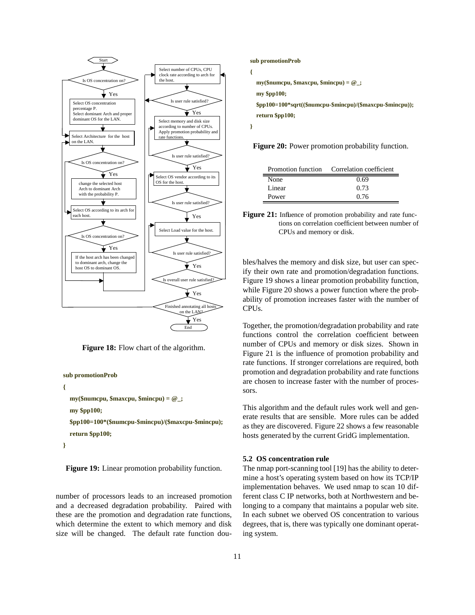

**Figure 18:** Flow chart of the algorithm.



**}**

**Figure 19:** Linear promotion probability function.

number of processors leads to an increased promotion and a decreased degradation probability. Paired with these are the promotion and degradation rate functions, which determine the extent to which memory and disk size will be changed. The default rate function dou-

#### **sub promotionProb**

```
{
  my($numcpu, $maxcpu, $mincpu) = @_;
  my $pp100;
  $pp100=100*sqrt(($numcpu-$mincpu)/($maxcpu-$mincpu));
  return $pp100;
}
```
**Figure 20:** Power promotion probability function.

|        | Promotion function Correlation coefficient |
|--------|--------------------------------------------|
| None   | 0.69                                       |
| Linear | 0.73                                       |
| Power  | 0.76                                       |



bles/halves the memory and disk size, but user can specify their own rate and promotion/degradation functions. Figure 19 shows a linear promotion probability function, while Figure 20 shows a power function where the probability of promotion increases faster with the number of CPUs.

Together, the promotion/degradation probability and rate functions control the correlation coefficient between number of CPUs and memory or disk sizes. Shown in Figure 21 is the influence of promotion probability and rate functions. If stronger correlations are required, both promotion and degradation probability and rate functions are chosen to increase faster with the number of processors.

This algorithm and the default rules work well and generate results that are sensible. More rules can be added as they are discovered. Figure 22 shows a few reasonable hosts generated by the current GridG implementation.

## **5.2 OS concentration rule**

The nmap port-scanning tool [19] has the ability to determine a host's operating system based on how its TCP/IP implementation behaves. We used nmap to scan 10 different class C IP networks, both at Northwestern and belonging to a company that maintains a popular web site. In each subnet we oberved OS concentration to various degrees, that is, there was typically one dominant operating system.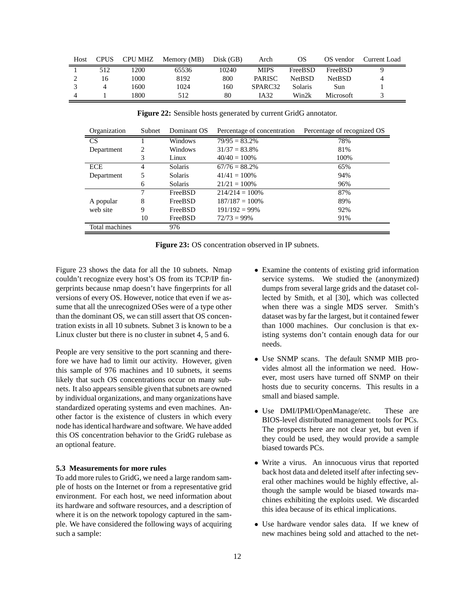| Host | <b>CPUS</b> | CPU MHZ | Memory (MB) | Disk (GB) | Arch                | OS            | OS vendor        | Current Load |
|------|-------------|---------|-------------|-----------|---------------------|---------------|------------------|--------------|
|      | 512         | 1200    | 65536       | 10240     | <b>MIPS</b>         | FreeBSD       | FreeBSD          |              |
|      | 16          | 1000    | 8192        | 800       | <b>PARISC</b>       | <b>NetBSD</b> | <b>NetBSD</b>    | 4            |
|      |             | 1600    | 1024        | 160       | SPARC <sub>32</sub> | Solaris       | Sun              |              |
|      |             | 1800.   | 512         | 80        | IA32                | Win2k         | <b>Microsoft</b> |              |

Organization Subnet Dominant OS Percentage of concentration Percentage of recognized OS  $\text{CS}$  1 Windows  $\text{79/95} = 83.2\%$  78% Department 2 Windows  $31/37 = 83.8\%$  81% 81%<br>3 Linux  $40/40 = 100\%$  100% 3 Linux  $40/40 = 100\%$ ECE 4 Solaris  $67/76 = 88.2\%$  65% Department 5 Solaris 41/41 = 100% 94% 6 Solaris 21/21 = 100% 96% 7 FreeBSD 214/214 = 100% 87% A popular 8 FreeBSD 187/187 = 100% 89% web site 9 FreeBSD 191/192 = 99% 92% 10 FreeBSD 72/73 = 99% 91% Total machines 976

**Figure 22:** Sensible hosts generated by current GridG annotator.

**Figure 23:** OS concentration observed in IP subnets.

Figure 23 shows the data for all the 10 subnets. Nmap couldn't recognize every host's OS from its TCP/IP fingerprints because nmap doesn't have fingerprints for all versions of every OS. However, notice that even if we assume that all the unrecognized OSes were of a type other than the dominant OS, we can still assert that OS concentration exists in all 10 subnets. Subnet 3 is known to be a Linux cluster but there is no cluster in subnet 4, 5 and 6.

People are very sensitive to the port scanning and therefore we have had to limit our activity. However, given this sample of 976 machines and 10 subnets, it seems likely that such OS concentrations occur on many subnets. It also appears sensible given that subnets are owned by individual organizations, and many organizations have standardized operating systems and even machines. Another factor is the existence of clusters in which every node has identical hardware and software. We have added this OS concentration behavior to the GridG rulebase as an optional feature.

## **5.3 Measurements for more rules**

To add more rules to GridG, we need a large random sample of hosts on the Internet or from a representative grid environment. For each host, we need information about its hardware and software resources, and a description of where it is on the network topology captured in the sample. We have considered the following ways of acquiring such a sample:

- Examine the contents of existing grid information service systems. We studied the (anonymized) dumps from several large grids and the dataset collected by Smith, et al [30], which was collected when there was a single MDS server. Smith's dataset was by far the largest, but it contained fewer than 1000 machines. Our conclusion is that existing systems don't contain enough data for our needs.
- Use SNMP scans. The default SNMP MIB provides almost all the information we need. However, most users have turned off SNMP on their hosts due to security concerns. This results in a small and biased sample.
- Use DMI/IPMI/OpenManage/etc. These are BIOS-level distributed management tools for PCs. The prospects here are not clear yet, but even if they could be used, they would provide a sample biased towards PCs.
- Write a virus. An innocuous virus that reported back host data and deleted itself after infecting several other machines would be highly effective, although the sample would be biased towards machines exhibiting the exploits used. We discarded this idea because of its ethical implications.
- Use hardware vendor sales data. If we knew of new machines being sold and attached to the net-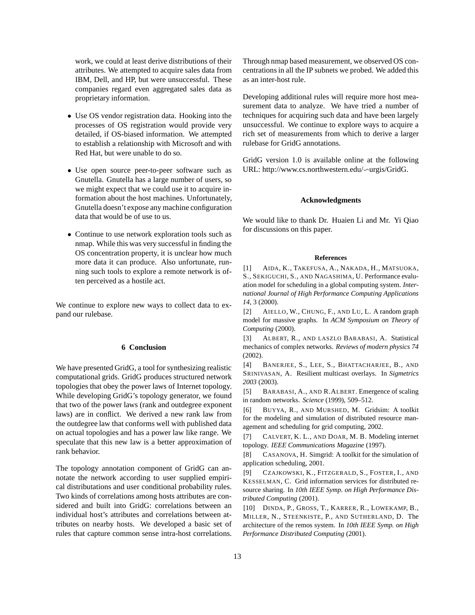work, we could at least derive distributions of their attributes. We attempted to acquire sales data from IBM, Dell, and HP, but were unsuccessful. These companies regard even aggregated sales data as proprietary information.

- Use OS vendor registration data. Hooking into the processes of OS registration would provide very detailed, if OS-biased information. We attempted to establish a relationship with Microsoft and with Red Hat, but were unable to do so.
- Use open source peer-to-peer software such as Gnutella. Gnutella has a large number of users, so we might expect that we could use it to acquire information about the host machines. Unfortunately, Gnutella doesn't expose any machine configuration data that would be of use to us.
- Continue to use network exploration tools such as nmap. While this was very successful in finding the OS concentration property, it is unclear how much more data it can produce. Also unfortunate, running such tools to explore a remote network is often perceived as a hostile act.

We continue to explore new ways to collect data to expand our rulebase.

# **6 Conclusion**

We have presented GridG, a tool for synthesizing realistic computational grids. GridG produces structured network topologies that obey the power laws of Internet topology. While developing GridG's topology generator, we found that two of the power laws (rank and outdegree exponent laws) are in conflict. We derived a new rank law from the outdegree law that conforms well with published data on actual topologies and has a power law like range. We speculate that this new law is a better approximation of rank behavior.

The topology annotation component of GridG can annotate the network according to user supplied empirical distributations and user conditional probability rules. Two kinds of correlations among hosts attributes are considered and built into GridG: correlations between an individual host's attributes and correlations between attributes on nearby hosts. We developed a basic set of rules that capture common sense intra-host correlations.

Through nmap based measurement, we observed OS concentrations in all the IP subnets we probed. We added this as an inter-host rule.

Developing additional rules will require more host measurement data to analyze. We have tried a number of techniques for acquiring such data and have been largely unsuccessful. We continue to explore ways to acquire a rich set of measurements from which to derive a larger rulebase for GridG annotations.

GridG version 1.0 is available online at the following URL: http://www.cs.northwestern.edu/ $\sim$ urgis/GridG.

## **Acknowledgments**

We would like to thank Dr. Huaien Li and Mr. Yi Qiao for discussions on this paper.

#### **References**

[1] AIDA, K., TAKEFUSA, A., NAKADA, H., MATSUOKA, S., SEKIGUCHI, S., AND NAGASHIMA, U. Performance evaluation model for scheduling in a global computing system. *International Journal of High Performance Computing Applications 14*, 3 (2000).

[2] AIELLO, W., CHUNG, F., AND LU, L. A random graph model for massive graphs. In *ACM Symposium on Theory of Computing* (2000).

[3] ALBERT, R., AND LASZLO BARABASI, A. Statistical mechanics of complex networks. *Reviews of modern physics 74* (2002).

[4] BANERJEE, S., LEE, S., BHATTACHARJEE, B., AND SRINIVASAN, A. Resilient multicast overlays. In *Sigmetrics 2003* (2003).

[5] BARABASI, A., AND R.ALBERT. Emergence of scaling in random networks. *Science* (1999), 509–512.

[6] BUYYA, R., AND MURSHED, M. Gridsim: A toolkit for the modeling and simulation of distributed resource management and scheduling for grid computing, 2002.

[7] CALVERT, K. L., AND DOAR, M. B. Modeling internet topology. *IEEE Communications Magazine* (1997).

[8] CASANOVA, H. Simgrid: A toolkit for the simulation of application scheduling, 2001.

[9] CZAJKOWSKI, K., FITZGERALD, S., FOSTER, I., AND KESSELMAN, C. Grid information services for distributed resource sharing. In *10th IEEE Symp. on High Performance Distributed Computing* (2001).

[10] DINDA, P., GROSS, T., KARRER, R., LOWEKAMP, B., MILLER, N., STEENKISTE, P., AND SUTHERLAND, D. The architecture of the remos system. In *10th IEEE Symp. on High Performance Distributed Computing* (2001).